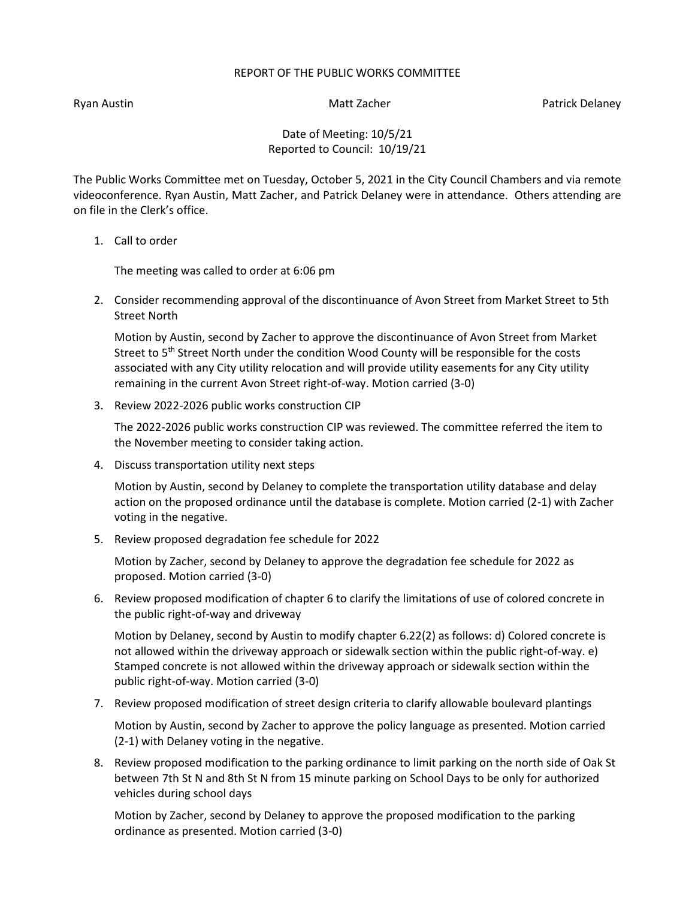## REPORT OF THE PUBLIC WORKS COMMITTEE

Ryan Austin Nation Matt Zacher Patrick Delaney National Australian Matt Zacher Patrick Delaney

Date of Meeting: 10/5/21 Reported to Council: 10/19/21

The Public Works Committee met on Tuesday, October 5, 2021 in the City Council Chambers and via remote videoconference. Ryan Austin, Matt Zacher, and Patrick Delaney were in attendance. Others attending are on file in the Clerk's office.

1. Call to order

The meeting was called to order at 6:06 pm

2. Consider recommending approval of the discontinuance of Avon Street from Market Street to 5th Street North

Motion by Austin, second by Zacher to approve the discontinuance of Avon Street from Market Street to 5<sup>th</sup> Street North under the condition Wood County will be responsible for the costs associated with any City utility relocation and will provide utility easements for any City utility remaining in the current Avon Street right-of-way. Motion carried (3-0)

3. Review 2022-2026 public works construction CIP

The 2022-2026 public works construction CIP was reviewed. The committee referred the item to the November meeting to consider taking action.

4. Discuss transportation utility next steps

Motion by Austin, second by Delaney to complete the transportation utility database and delay action on the proposed ordinance until the database is complete. Motion carried (2-1) with Zacher voting in the negative.

5. Review proposed degradation fee schedule for 2022

Motion by Zacher, second by Delaney to approve the degradation fee schedule for 2022 as proposed. Motion carried (3-0)

6. Review proposed modification of chapter 6 to clarify the limitations of use of colored concrete in the public right-of-way and driveway

Motion by Delaney, second by Austin to modify chapter 6.22(2) as follows: d) Colored concrete is not allowed within the driveway approach or sidewalk section within the public right-of-way. e) Stamped concrete is not allowed within the driveway approach or sidewalk section within the public right-of-way. Motion carried (3-0)

7. Review proposed modification of street design criteria to clarify allowable boulevard plantings

Motion by Austin, second by Zacher to approve the policy language as presented. Motion carried (2-1) with Delaney voting in the negative.

8. Review proposed modification to the parking ordinance to limit parking on the north side of Oak St between 7th St N and 8th St N from 15 minute parking on School Days to be only for authorized vehicles during school days

Motion by Zacher, second by Delaney to approve the proposed modification to the parking ordinance as presented. Motion carried (3-0)